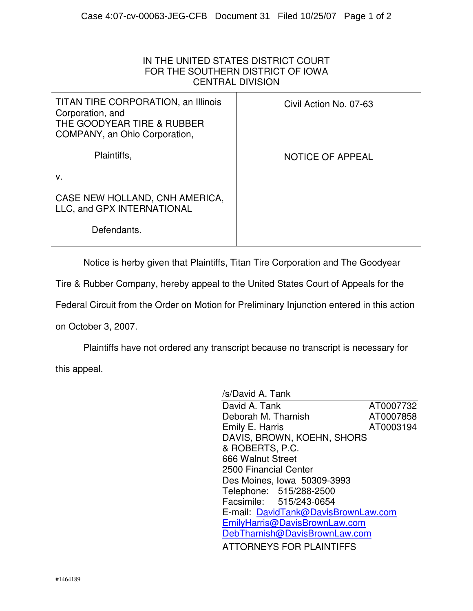## IN THE UNITED STATES DISTRICT COURT FOR THE SOUTHERN DISTRICT OF IOWA CENTRAL DIVISION

| TITAN TIRE CORPORATION, an Illinois<br>Corporation, and<br>THE GOODYEAR TIRE & RUBBER<br>COMPANY, an Ohio Corporation, | Civil Action No. 07-63 |
|------------------------------------------------------------------------------------------------------------------------|------------------------|
| Plaintiffs,                                                                                                            | NOTICE OF APPEAL       |
| V.                                                                                                                     |                        |
| CASE NEW HOLLAND, CNH AMERICA,<br>LLC, and GPX INTERNATIONAL                                                           |                        |
| Defendants.                                                                                                            |                        |
|                                                                                                                        |                        |

Notice is herby given that Plaintiffs, Titan Tire Corporation and The Goodyear

Tire & Rubber Company, hereby appeal to the United States Court of Appeals for the

Federal Circuit from the Order on Motion for Preliminary Injunction entered in this action

on October 3, 2007.

 Plaintiffs have not ordered any transcript because no transcript is necessary for this appeal.

| /s/David A. Tank                    |           |
|-------------------------------------|-----------|
| David A. Tank                       | AT0007732 |
| Deborah M. Tharnish                 | AT0007858 |
| Emily E. Harris                     | AT0003194 |
| DAVIS, BROWN, KOEHN, SHORS          |           |
| & ROBERTS, P.C.                     |           |
| 666 Walnut Street                   |           |
| 2500 Financial Center               |           |
| Des Moines, Iowa 50309-3993         |           |
| Telephone: 515/288-2500             |           |
| Facsimile: 515/243-0654             |           |
| E-mail: DavidTank@DavisBrownLaw.com |           |
| EmilyHarris@DavisBrownLaw.com       |           |
| DebTharnish@DavisBrownLaw.com       |           |
| <b>ATTORNEYS FOR PLAINTIFFS</b>     |           |